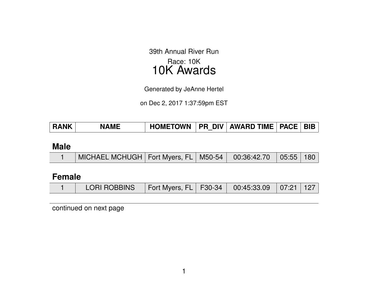39th Annual River Run Race: 10K 10K Awards

Generated by JeAnne Hertel

on Dec 2, 2017 1:37:59pm EST

| <b>RANK</b> | <b>NAME</b> | <b>HOMETOWN</b> |  | PR DIV   AWARD TIME   PACE   BIB |  |  |
|-------------|-------------|-----------------|--|----------------------------------|--|--|
|-------------|-------------|-----------------|--|----------------------------------|--|--|

#### **Male**

|  | MICHAEL MCHUGH   Fort Myers, FL   M50-54   00:36:42.70   05:55   180 |  |  |  |  |  |
|--|----------------------------------------------------------------------|--|--|--|--|--|
|--|----------------------------------------------------------------------|--|--|--|--|--|

# **Female**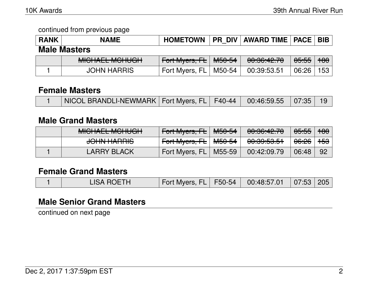| <b>RANK</b> | <b>NAME</b>                                    | <b>HOMETOWN</b>       |        | <b>PR DIV   AWARD TIME   PACE   BIB</b> |                  |       |
|-------------|------------------------------------------------|-----------------------|--------|-----------------------------------------|------------------|-------|
|             | <b>Male Masters</b>                            |                       |        |                                         |                  |       |
|             | MIOLIAEL MOLILIOLL<br><b>MIULIALL MULIUUIT</b> | Fort Myers, FL M50-54 |        | 00:36:42.70                             | <del>05:55</del> | $+80$ |
|             | <b>JOHN HARRIS</b>                             | Fort Myers, FL        | M50-54 | 00:39:53.51                             | 06:26            | 153   |

#### **Female Masters**

| NICOL BRANDLI-NEWMARK   Fort Myers, FL   F40-44   00:46:59.55   07:35   19 |  |
|----------------------------------------------------------------------------|--|
|----------------------------------------------------------------------------|--|

# **Male Grand Masters**

| MIQUALI MOUROU<br><u>MIUTALL MUTUUT</u>    | Fort Myers, FL          | <del>M50-54</del> | 0.00.10.70<br>᠊ <del>ᡡ᠄᠊ᠣ</del> ᡂ | <del>05:55</del> | $+80$          |
|--------------------------------------------|-------------------------|-------------------|-----------------------------------|------------------|----------------|
| <u>JOUNLUADDIC</u><br><del>JUNITANNO</del> | Fort Myers, FL   M50-54 |                   | 0.0005051<br><del>ೲೲೲೲ</del>      | <del>06:26</del> | <del>153</del> |
| <b>LARRY BLACK</b>                         | Fort Myers, FL          | M55-59            | 00:42:09.79                       | 06:48            | 92             |

# **Female Grand Masters**

|  | <b>LISA ROETH</b> | Fort Myers, FL   F50-54   00:48:57.01   07:53   205 |  |  |  |  |
|--|-------------------|-----------------------------------------------------|--|--|--|--|
|--|-------------------|-----------------------------------------------------|--|--|--|--|

# **Male Senior Grand Masters**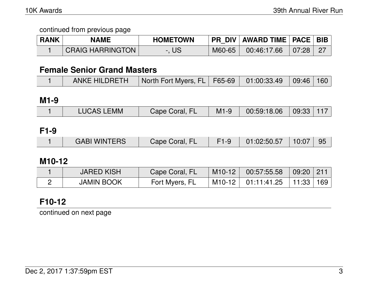| <b>RANK</b> | <b>NAME</b>             | <b>HOMETOWN</b> |        | PR_DIV   AWARD TIME   PACE   BIB |       |  |
|-------------|-------------------------|-----------------|--------|----------------------------------|-------|--|
|             | <b>CRAIG HARRINGTON</b> | US              | M60-65 | 00:46:17.66                      | 07:28 |  |

## **Female Senior Grand Masters**

| ANKE HILDRETH   North Fort Myers, FL   F65-69   01:00:33.49   09:46   160 |  |  |  |  |  |  |  |
|---------------------------------------------------------------------------|--|--|--|--|--|--|--|
|---------------------------------------------------------------------------|--|--|--|--|--|--|--|

**M1-9**

|  | <b>LUCAS LEMM</b> | Cape Coral, FL | $M1-9$ | $\begin{array}{ c c c c c }\ \hline \text{00:59:18.06} & \text{09:33} & \text{117} \end{array}$ |  |  |
|--|-------------------|----------------|--------|-------------------------------------------------------------------------------------------------|--|--|
|--|-------------------|----------------|--------|-------------------------------------------------------------------------------------------------|--|--|

**F1-9**

|  | <b>GABI WINTERS</b> | Cape Coral, FL |  | 01:02:50.57 | 10:07 |  |
|--|---------------------|----------------|--|-------------|-------|--|
|--|---------------------|----------------|--|-------------|-------|--|

# **M10-12**

| <b>JARED KISH</b> | Cape Coral, FL | $M10-12$                | 00:57:55.58 | 09:20   211     |  |
|-------------------|----------------|-------------------------|-------------|-----------------|--|
| <b>JAMIN BOOK</b> | Fort Myers, FL | $^{\circ}$ M10-12 $\pm$ | 01:11:41.25 | ∣ 11:33 ∣ 169 ∣ |  |

# **F10-12**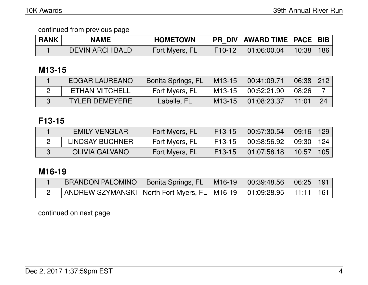| <b>RANK</b> | <b>NAME</b>            | <b>HOMETOWN</b> |          | PR_DIV   AWARD TIME   PACE   BIB |                       |            |
|-------------|------------------------|-----------------|----------|----------------------------------|-----------------------|------------|
|             | <b>DEVIN ARCHIBALD</b> | Fort Myers, FL  | $F10-12$ | 01:06:00.04                      | $\vert$ 10:38 $\vert$ | <b>186</b> |

## **M13-15**

| EDGAR LAUREANO        | Bonita Springs, FL | M <sub>13</sub> -15 | 00:41:09.71 | 06:38 | $\mid$ 212 $\mid$ |
|-----------------------|--------------------|---------------------|-------------|-------|-------------------|
| <b>ETHAN MITCHELL</b> | Fort Myers, FL     | $M13-15$            | 00:52:21.90 | 08:26 |                   |
| <b>TYLER DEMEYERE</b> | Labelle, FL        | $M13-15$            | 01:08:23.37 | 11:01 | 24                |

# **F13-15**

| <b>EMILY VENGLAR</b> | Fort Myers, FL | $F13-15$            | 00:57:30.54 | 09:16   129 |     |
|----------------------|----------------|---------------------|-------------|-------------|-----|
| LINDSAY BUCHNER      | Fort Myers, FL | F <sub>13</sub> -15 | 00:58:56.92 | 09:30   124 |     |
| OLIVIA GALVANO       | Fort Myers, FL | $F13-15$            | 01:07:58.18 | 10:57       | 105 |

# **M16-19**

| <b>BRANDON PALOMINO</b>                                                            | ◯ Bonita Springs, FL   M16-19   00:39:48.56   06:25   191 |  |  |
|------------------------------------------------------------------------------------|-----------------------------------------------------------|--|--|
| │ ANDREW SZYMANSKI   North Fort Myers, FL   M16-19     01:09:28.95     11:11   161 |                                                           |  |  |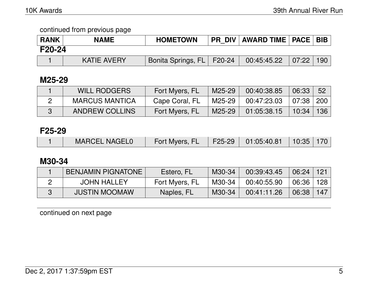| <b>RANK</b>   | <b>NAME</b>        | <b>HOMETOWN</b>             | PR_DIV   AWARD TIME   PACE   BIB |       |     |
|---------------|--------------------|-----------------------------|----------------------------------|-------|-----|
| <b>F20-24</b> |                    |                             |                                  |       |     |
|               | <b>KATIE AVERY</b> | Bonita Springs, FL   F20-24 | 00:45:45.22                      | 07:22 | 190 |

# **M25-29**

| <b>WILL RODGERS</b>   | Fort Myers, FL | M25-29 | 00:40:38.85 | 06:33         | 52 |
|-----------------------|----------------|--------|-------------|---------------|----|
| <b>MARCUS MANTICA</b> | Cape Coral, FL | M25-29 | 00:47:23.03 | 07:38   200   |    |
| <b>ANDREW COLLINS</b> | Fort Myers, FL | M25-29 | 01:05:38.15 | $10:34$   136 |    |

### **F25-29**

|  | <b>MARCEL NAGEL0</b> | Fort Myers, FL   F25-29   01:05:40.81   10:35   170 |  |  |  |  |
|--|----------------------|-----------------------------------------------------|--|--|--|--|
|--|----------------------|-----------------------------------------------------|--|--|--|--|

# **M30-34**

| <b>BENJAMIN PIGNATONE</b> | Estero, FL     | M30-34 | 00:39:43.45 | 06:24 | 121   |
|---------------------------|----------------|--------|-------------|-------|-------|
| <b>JOHN HALLEY</b>        | Fort Myers, FL | M30-34 | 00:40:55.90 | 06:36 | 128 ∣ |
| <b>JUSTIN MOOMAW</b>      | Naples, FL     | M30-34 | 00:41:11.26 | 06:38 | 147   |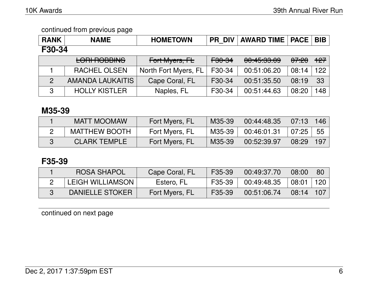| <b>RANK</b>    | <b>NAME</b>                         | <b>HOMETOWN</b>      | <b>PR DIV</b>     | <b>AWARD TIME</b>                | <b>PACE</b> | <b>BIB</b>       |  |  |
|----------------|-------------------------------------|----------------------|-------------------|----------------------------------|-------------|------------------|--|--|
| F30-34         |                                     |                      |                   |                                  |             |                  |  |  |
|                | LODI DODDINIO<br><b>LUNINUUDINU</b> | Fort Myers, FL       | <del>F30-34</del> | 0.45.00.00<br><u>UU.4J.JJ.UJ</u> | 07:20       | $+27$            |  |  |
|                | <b>RACHEL OLSEN</b>                 | North Fort Myers, FL | F30-34            | 00:51:06.20                      | 08:14       | 122              |  |  |
| $\overline{2}$ | AMANDA LAUKAITIS                    | Cape Coral, FL       | F30-34            | 00:51:35.50                      | 08:19       | 33               |  |  |
| 3              | <b>HOLLY KISTLER</b>                | Naples, FL           | F30-34            | 00:51:44.63                      | 08:20       | 148 <sub>1</sub> |  |  |

# **M35-39**

| <b>MATT MOOMAW</b>   | Fort Myers, FL | M35-39 | 00:44:48.35 | $07:13$ 146 |      |
|----------------------|----------------|--------|-------------|-------------|------|
| <b>MATTHEW BOOTH</b> | Fort Myers, FL | M35-39 | 00:46:01.31 | 07:25       | - 55 |
| <b>CLARK TEMPLE</b>  | Fort Myers, FL | M35-39 | 00:52:39.97 | 08:29       | 197  |

# **F35-39**

| <b>ROSA SHAPOL</b>      | Cape Coral, FL | F35-39 | 00:49:37.70 | 08:00         | 80  |
|-------------------------|----------------|--------|-------------|---------------|-----|
| <b>LEIGH WILLIAMSON</b> | Estero, FL     | F35-39 | 00:49:48.35 | 08:01         | 120 |
| DANIELLE STOKER         | Fort Myers, FL | F35-39 | 00:51:06.74 | $08:14$   107 |     |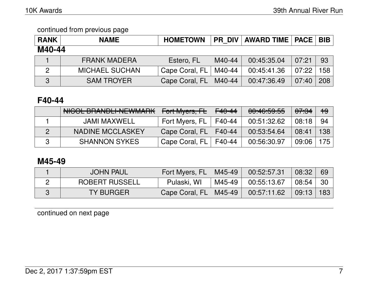| <b>RANK</b>    | <b>NAME</b>           | <b>HOMETOWN</b> | <b>PR DIV</b> | <b>AWARD TIME   PACE   BIB  </b> |       |                  |
|----------------|-----------------------|-----------------|---------------|----------------------------------|-------|------------------|
| M40-44         |                       |                 |               |                                  |       |                  |
|                | <b>FRANK MADERA</b>   | Estero, FL      | M40-44        | 00:45:35.04                      | 07:21 | 93               |
| $\overline{2}$ | <b>MICHAEL SUCHAN</b> | Cape Coral, FL  | M40-44        | 00:45:41.36                      | 07:22 | 158 <sub>1</sub> |
| 3              | <b>SAM TROYER</b>     | Cape Coral, FL  | M40-44        | 00:47:36.49                      | 07:40 | 208              |

# **F40-44**

| NICOL BRANDLI-NEWMARK | Fort Myers, FL | $F40-44$ | 00:46:59.55 | 07:34 | $+9$ |
|-----------------------|----------------|----------|-------------|-------|------|
| JAMI MAXWELL          | Fort Myers, FL | F40-44   | 00:51:32.62 | 08:18 | 94   |
| NADINE MCCLASKEY      | Cape Coral, FL | F40-44   | 00:53:54.64 | 08:41 | 138  |
| <b>SHANNON SYKES</b>  | Cape Coral, FL | F40-44   | 00:56:30.97 | 09:06 | 175  |

# **M45-49**

| <b>JOHN PAUL</b>      | Fort Myers, FL | $^{\circ}$ M45-49 | 00:52:57.31 | 08:32 | 69   |
|-----------------------|----------------|-------------------|-------------|-------|------|
| <b>ROBERT RUSSELL</b> | Pulaski, WI    | M45-49            | 00:55:13.67 | 08:54 | - 30 |
| TY BURGER             | Cape Coral, FL | M45-49            | 00:57:11.62 | 09:13 | 183  |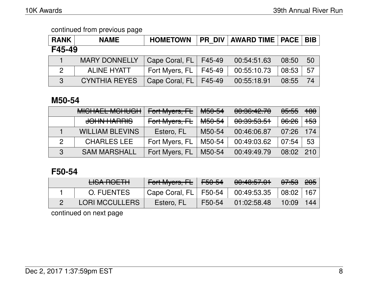| <b>RANK</b>   | <b>NAME</b>          | <b>HOMETOWN</b> |        | <b>PR DIV   AWARD TIME   PACE  </b> |       | <b>BIB</b> |  |  |
|---------------|----------------------|-----------------|--------|-------------------------------------|-------|------------|--|--|
| F45-49        |                      |                 |        |                                     |       |            |  |  |
|               | <b>MARY DONNELLY</b> | Cape Coral, FL  | F45-49 | 00:54:51.63                         | 08:50 | 50         |  |  |
| $\mathcal{P}$ | <b>ALINE HYATT</b>   | Fort Myers, FL  | F45-49 | 00:55:10.73                         | 08:53 | 57         |  |  |
| $\mathbf{3}$  | <b>CYNTHIA REYES</b> | Cape Coral, FL  | F45-49 | 00:55:18.91                         | 08:55 | 74         |  |  |

# **M50-54**

|               | MIQUALI MOUUQU<br><b>MIULIALL MUIUUT</b> | Fort Myers, FL | M <sub>50-54</sub> | 00:36:42.70 | <del>05:55</del> | <del>180</del> |
|---------------|------------------------------------------|----------------|--------------------|-------------|------------------|----------------|
|               | <b>JOHN HARRIS</b>                       | Fort Myers, FL | M <sub>50-54</sub> | 00:39:53.51 | <del>06:26</del> | <del>153</del> |
|               | <b>WILLIAM BLEVINS</b>                   | Estero, FL     | M50-54             | 00:46:06.87 | 07:26            | 174            |
| $\mathcal{P}$ | <b>CHARLES LEE</b>                       | Fort Myers, FL | M50-54             | 00:49:03.62 | 07:54            | 53             |
| $\mathcal{R}$ | <b>SAM MARSHALL</b>                      | Fort Myers, FL | M50-54             | 00:49:49.79 | 08:02            | 210            |

# **F50-54**

| <u>LICA DOETH</u><br><del>CIOANOL IN</del> | Fort Myers, FL F50-54   |        | 00:40:57.01 | <del>07:53</del>   <del>205</del> |       |
|--------------------------------------------|-------------------------|--------|-------------|-----------------------------------|-------|
| O. FUENTES                                 | Cape Coral, $FL$ F50-54 |        | 00:49:53.35 | $\vert$ 08:02                     | 167 l |
| <b>LORI MCCULLERS</b>                      | Estero, FL              | F50-54 | 01:02:58.48 | 10:09                             | 144   |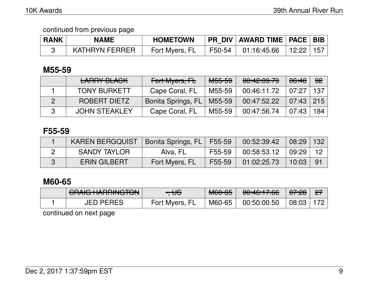| <b>RANK</b> | <b>NAME</b>    | <b>HOMETOWN</b> |                                      | <b>PR DIV AWARD TIME PACE BIB</b>                                                               |  |
|-------------|----------------|-----------------|--------------------------------------|-------------------------------------------------------------------------------------------------|--|
|             | KATHRYN FERRER | Fort Myers, FL  | $\overline{1}$ F50-54 $\overline{1}$ | $\begin{array}{ c c c c c }\ \hline \text{01:16:45.66} & \text{12:22} & \text{157} \end{array}$ |  |

# **M55-59**

| <b>LARRY BLACK</b>   | Fort Myers, FL     | <del>M55-59</del> | 00:42:09.79 | 06:48         | 92    |
|----------------------|--------------------|-------------------|-------------|---------------|-------|
| <b>TONY BURKETT</b>  | Cape Coral, FL     | M55-59            | 00:46:11.72 | 07:27         | 137 I |
| <b>ROBERT DIETZ</b>  | Bonita Springs, FL | M55-59            | 00:47:52.22 | $07:43$   215 |       |
| <b>JOHN STEAKLEY</b> | Cape Coral, FL     | M55-59            | 00:47:56.74 | 07:43         | 184 l |

# **F55-59**

| <b>KAREN BERGQUIST</b> | Bonita Springs, FL   F55-59 |        | 00:52:39.42 | $08:29$   132 |      |
|------------------------|-----------------------------|--------|-------------|---------------|------|
| <b>SANDY TAYLOR</b>    | Alva, FL                    | F55-59 | 00:58:53.12 | 09:29         | -12  |
| <b>ERIN GILBERT</b>    | Fort Myers, FL              | F55-59 | 01:02:25.73 | 10:03         | - 91 |

# **M60-65**

| CDAIC UADDINCTON<br><del>UMUMMMWYJU</del> | $\blacksquare$<br>᠊ᡂ | $MCA$ $CE$<br>ᡕᠬᡂᡃᡂ | $0.1011700$<br><del>00.40.17.00</del> | <u>07.00</u><br><del>07.Z</del> | $\mathbf{P}$ |
|-------------------------------------------|----------------------|---------------------|---------------------------------------|---------------------------------|--------------|
| JED PERES                                 | Fort Myers, FL       | M60-65              | 00:50:00.50                           | 08:03                           |              |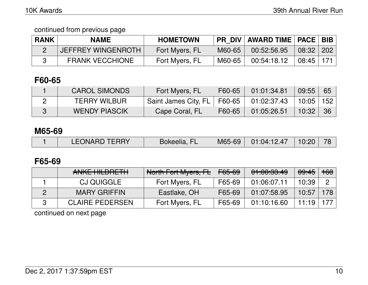| <b>RANK</b> | <b>NAME</b>            | <b>HOMETOWN</b> | <b>PR DIV</b> | <b>AWARD TIME   PACE   BIB</b> |       |            |
|-------------|------------------------|-----------------|---------------|--------------------------------|-------|------------|
|             | JEFFREY WINGENROTH     | Fort Myers, FL  | M60-65        | 00:52:56.95                    | 08:32 | $\mid$ 202 |
|             | <b>FRANK VECCHIONE</b> | Fort Myers, FL  | M60-65        | 00:54:18.12                    | 08:45 | -171       |

# **F60-65**

| <b>CAROL SIMONDS</b> | Fort Myers, FL                              | F60-65 | 01:01:34.81 | $09:55$ 65 |  |
|----------------------|---------------------------------------------|--------|-------------|------------|--|
| <b>TERRY WILBUR</b>  | Saint James City, FL   F60-65   01:02:37.43 |        |             | 10:05 152  |  |
| <b>WENDY PIASCIK</b> | Cape Coral, FL                              | F60-65 | 01:05:26.51 | $10:32$ 36 |  |

#### **M65-69**

|  | <b>LEONARD TERRY</b> | Bokeelia, FL | M65-69 | 01:04:12.47 | 10:20 |  |
|--|----------------------|--------------|--------|-------------|-------|--|
|--|----------------------|--------------|--------|-------------|-------|--|

## **F65-69**

| ANIZE LIII DOETLI<br>AIVINE THEPTIE ITT | North Fort Myers, FL | <del>F65-69</del> | 01:00:33.49 | <del>09:45</del> | $+60$       |
|-----------------------------------------|----------------------|-------------------|-------------|------------------|-------------|
| <b>CJ QUIGGLE</b>                       | Fort Myers, FL       | F65-69            | 01:06:07.11 | 10:39            |             |
| <b>MARY GRIFFIN</b>                     | Eastlake, OH         | F65-69            | 01:07:58.95 | 10:57            | $\vert$ 178 |
| <b>CLAIRE PEDERSEN</b>                  | Fort Myers, FL       | F65-69            | 01:10:16.60 | 11:19            |             |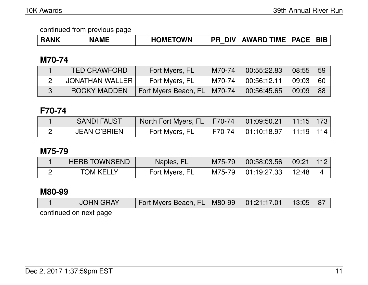| <b>ANK</b> | ME | <b>DMETOWN</b> | <b>DIV</b><br>PR | <b>AWARD TIME</b> | <b>PACF</b> | <b>BIE</b> |
|------------|----|----------------|------------------|-------------------|-------------|------------|
|------------|----|----------------|------------------|-------------------|-------------|------------|

# **M70-74**

| <b>TED CRAWFORD</b> | Fort Myers, FL                | $M70-74$ | 00:55:22.83 | 08:55 | -59  |
|---------------------|-------------------------------|----------|-------------|-------|------|
| ' JONATHAN WALLER   | Fort Myers, FL                | M70-74 l | 00:56:12.11 | 09:03 | - 60 |
| <b>ROCKY MADDEN</b> | Fort Myers Beach, FL   M70-74 |          | 00:56:45.65 | 09:09 | -88  |

# **F70-74**

| <b>SANDI FAUST</b>  | North Fort Myers, FL   F70-74   01:09:50.21   11:15   173 |                                    |  |
|---------------------|-----------------------------------------------------------|------------------------------------|--|
| <b>JEAN O'BRIEN</b> | Fort Myers, FL                                            | F70-74   01:10:18.97   11:19   114 |  |

# **M75-79**

| <b>HERB TOWNSEND</b> | Naples, FL     | M75-79 | 00:58:03.56        | $09:21$   112    |  |
|----------------------|----------------|--------|--------------------|------------------|--|
| <b>TOM KELLY</b>     | Fort Myers, FL |        | M75-79 01:19:27.33 | $^{\circ}$ 12:48 |  |

# **M80-99**

| <b>JOHN GRAY</b>       | Fort Myers Beach, FL   M80-99   01:21:17.01   13:05   87 |  |  |
|------------------------|----------------------------------------------------------|--|--|
| continued on next page |                                                          |  |  |